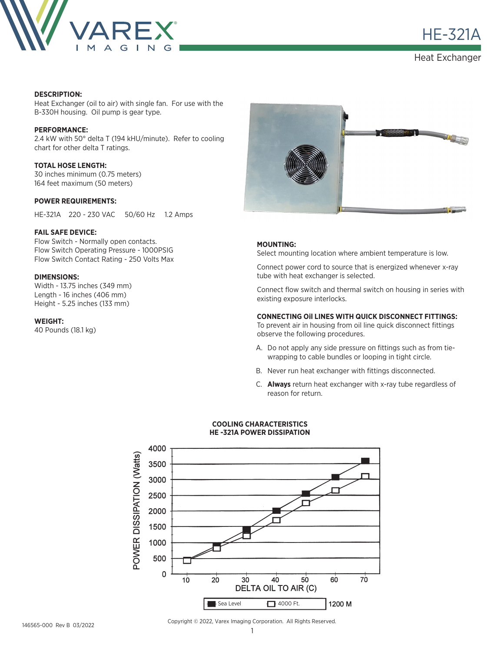

**HE-321A** 

Heat Exchanger

### **DESCRIPTION:**

Heat Exchanger (oil to air) with single fan. For use with the B-330H housing. Oil pump is gear type.

#### **PERFORMANCE:**

2.4 kW with 50° delta T (194 kHU/minute). Refer to cooling chart for other delta T ratings.

## **TOTAL HOSE LENGTH:** 30 inches minimum (0.75 meters)

164 feet maximum (50 meters)

## **POWER REQUIREMENTS:**

HE-321A 220 - 230 VAC 50/60 Hz 1.2 Amps

### **FAIL SAFE DEVICE:**

Flow Switch - Normally open contacts. Flow Switch Operating Pressure - 1000PSIG Flow Switch Contact Rating - 250 Volts Max

## **DIMENSIONS:**

Width - 13.75 inches (349 mm) Length - 16 inches (406 mm) Height - 5.25 inches (133 mm)

**WEIGHT:**

40 Pounds (18.1 kg)



## **MOUNTING:**

Select mounting location where ambient temperature is low.

Connect power cord to source that is energized whenever x-ray tube with heat exchanger is selected.

Connect flow switch and thermal switch on housing in series with existing exposure interlocks.

## **CONNECTING Oil LINES WITH QUICK DISCONNECT FITTINGS:**

To prevent air in housing from oil line quick disconnect fittings observe the following procedures.

- A. Do not apply any side pressure on fittings such as from tiewrapping to cable bundles or looping in tight circle.
- B. Never run heat exchanger with fittings disconnected.
- C. **Always** return heat exchanger with x-ray tube regardless of reason for return.



#### **COOLING CHARACTERISTICS HE -321A POWER DISSIPATION**

Copyright © 2022, Varex Imaging Corporation. All Rights Reserved.